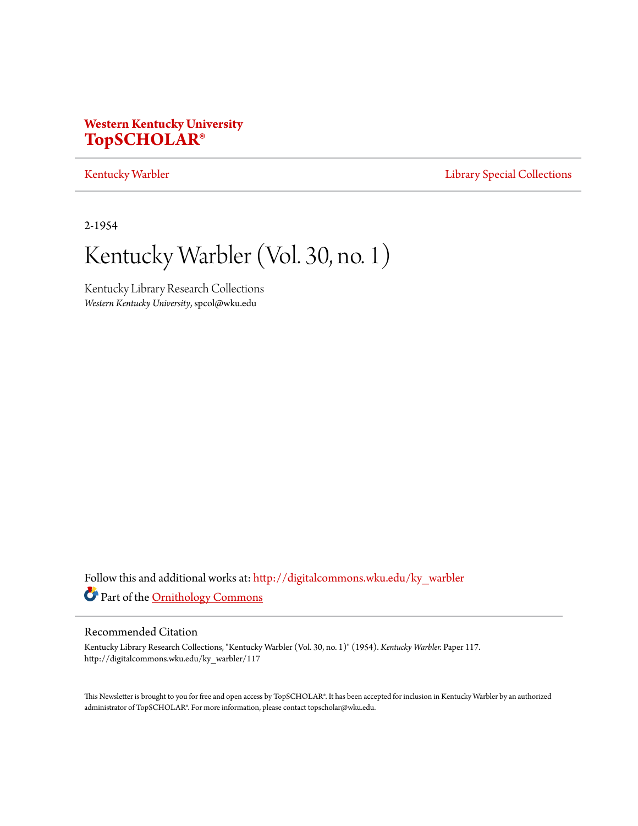## **Western Kentucky University [TopSCHOLAR®](http://digitalcommons.wku.edu?utm_source=digitalcommons.wku.edu%2Fky_warbler%2F117&utm_medium=PDF&utm_campaign=PDFCoverPages)**

## [Kentucky Warbler](http://digitalcommons.wku.edu/ky_warbler?utm_source=digitalcommons.wku.edu%2Fky_warbler%2F117&utm_medium=PDF&utm_campaign=PDFCoverPages) **[Library Special Collections](http://digitalcommons.wku.edu/dlsc?utm_source=digitalcommons.wku.edu%2Fky_warbler%2F117&utm_medium=PDF&utm_campaign=PDFCoverPages)**

2-1954

# Kentucky Warbler (Vol. 30, no. 1)

Kentucky Library Research Collections *Western Kentucky University*, spcol@wku.edu

Follow this and additional works at: [http://digitalcommons.wku.edu/ky\\_warbler](http://digitalcommons.wku.edu/ky_warbler?utm_source=digitalcommons.wku.edu%2Fky_warbler%2F117&utm_medium=PDF&utm_campaign=PDFCoverPages) Part of the [Ornithology Commons](http://network.bepress.com/hgg/discipline/1190?utm_source=digitalcommons.wku.edu%2Fky_warbler%2F117&utm_medium=PDF&utm_campaign=PDFCoverPages)

## Recommended Citation

Kentucky Library Research Collections, "Kentucky Warbler (Vol. 30, no. 1)" (1954). *Kentucky Warbler.* Paper 117. http://digitalcommons.wku.edu/ky\_warbler/117

This Newsletter is brought to you for free and open access by TopSCHOLAR®. It has been accepted for inclusion in Kentucky Warbler by an authorized administrator of TopSCHOLAR®. For more information, please contact topscholar@wku.edu.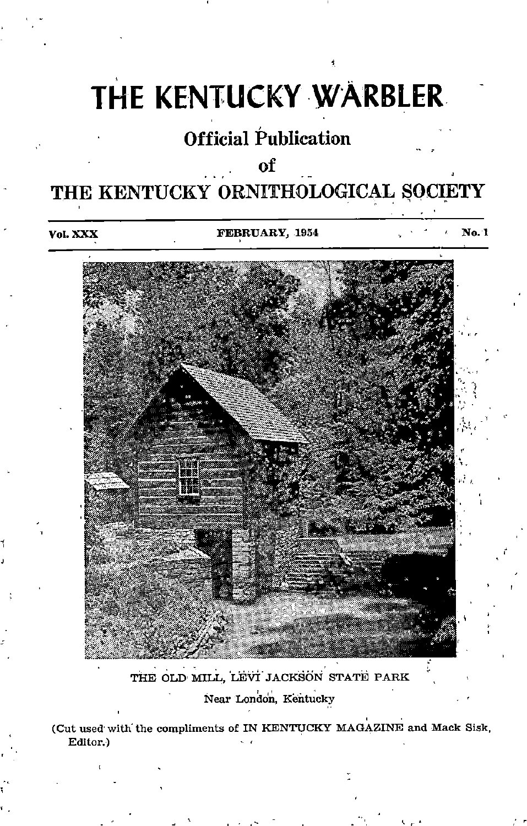# THE KENTUCKY WARBLER

# Official Publication

# $\overline{\text{ot}}$

# THE KENTUCKY ORNITHOLOGICAL SOCIETY

Vol. XXX **FEBRUARY, 1954** No. 1



## THE OLD MILL, LEVI JACKSON STATE PARK Near London, Kentucky

(Cut used'with'the compliments of IN KENTUCKY MAGAZINE and Mack Sisk, Editor.)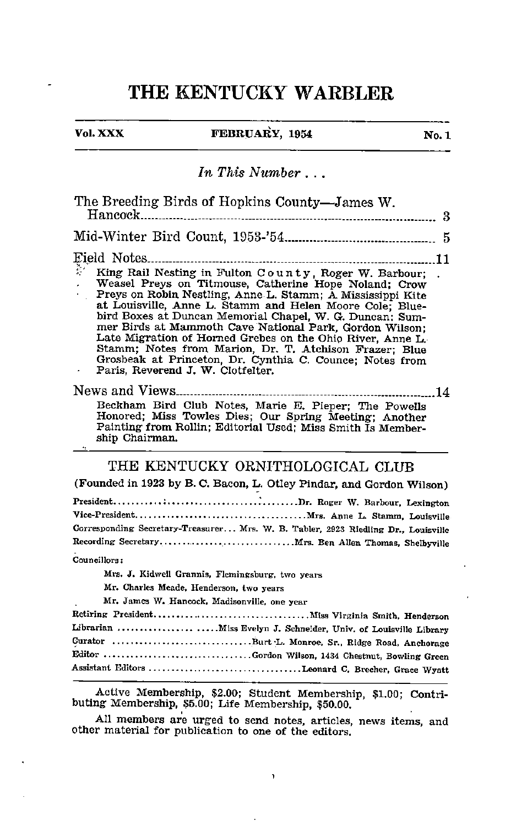## THE KENTUCKY WARBLER

 $\overline{a}$ 

## Vol. XXX **FEBRUARY**,  $1954$  No. 1

## In This Number . . .

Active Membership, \$2.00; Student Membership, \$1.00; Contri buting Membership, \$5.00; Life Membership, \$50.00.

All members are urged to send notes, articles, news items, and other material for publication to one of the editors.

 $\,$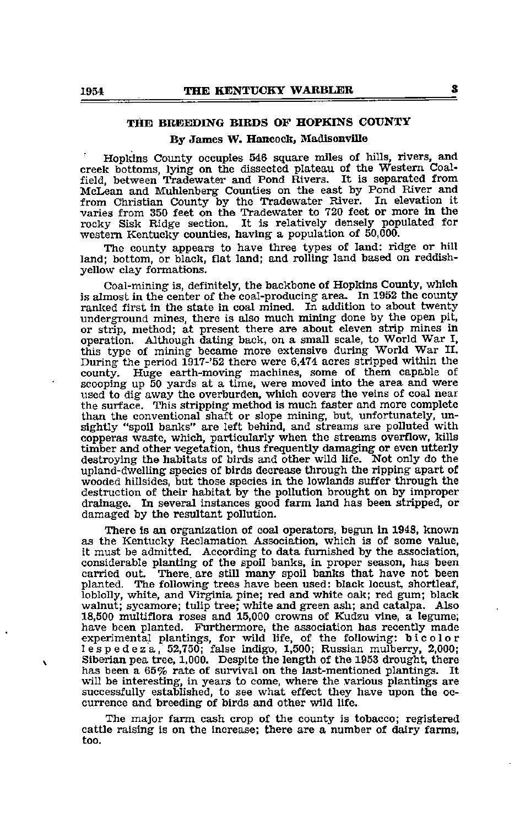### THE BREEDING BIRDS OF HOPKINS COUNTY

#### By James W. Hancock, Madisonville

Hopkins County occupies 546 square miles of hills, rivers, and creek bottoms, lying on the dissected plateau of the Western Coal field, between Tradewater and Pond Rivers. It is separated from McLean and MiUilenberg Counties on the east by Pond River and from Christian County by the Tradewater River. In elevation it varies from 350 feet on the Tradewater to 720 feet or more in the rocky Sisk Ridge section. It is relatively densely populated for western Kentucky counties, having a population of 50,000.

The county appears to have three types of land: ridge or hill land; bottom, or black, flat land; and rolling land based on reddishyellow clay formations.

Coal-mining is, definitely, the backbone of Hopkins County, which is almost in the center of the coal-producing area. In 1952 the county ranked first in the state in coal mined. In addition to about twenty underground mines, there is also much mining done by the open pit, or strip, method; at present there are about eleven strip mines in operation. Although dating back, on a small scale, to World War I, this type of mining became more extensive during World War II. During the period 1917-'52 there were 6,474 acres stripped within the county. Huge earth-moving machines, some of them capable of scooping up 50 yards at a time, were moved into the area and were used to dig away the overburden, which covers the veins of coal near the surface. This stripping method is much faster and more complete than the conventional shaft or slope mining, but, unfortunately, un sightly "spoil banks" are left behind, and streams are polluted with copperas waste, which, particularly when the streams overflow, kills timber and other vegetation, thus frequently damaging or even utterly destroying the habitats of birds and other wild life. Not only do the upland-dwelling species of birds decrease through the ripping apart of wooded hillsides, but those species in the lowlands suffer through the destruction of their habitat by the pollution brought on by improper drainage. In several instances good farm land has been stripped, or damaged by the resultant pollution.

There is an organization of coal operators, begun in 1948, known as the Kentucky Reclamation Association, which is of some value, it must be admitted. According to data furnished by the association, considerable planting of the spoil banks, in proper season, has been carried out. There are still many spoil banks that have not been There are still many spoil banks that have not been planted. The following trees have been used: black locust, shortleaf, loblolly, white, and Virginia pine; red and white oak; red gum; black walnut; sycamore; tulip tree; white and green ash; and catalpa. Also 18,500 multiflora roses and 15,000 crowns of Kudzu vine, a legume;<br>have been planted. Furthermore, the association has recently made<br>experimental plantings, for wild life, of the following: bicolor<br>lespedeza, 52,750; fals Siberian pea tree, 1,000. Despite the length of the 1953 drought, there has been <sup>a</sup> 65% rate of survival on the last-mentioned plantings. It will be interesting, in years to come, where the various plantings are successfully established, to see what effect they have upon the oc currence and breeding of birds and other wild life.

The major farm cash crop of the county is tobacco; registered cattle raising is on the increase; there are a number of dairy farms, too.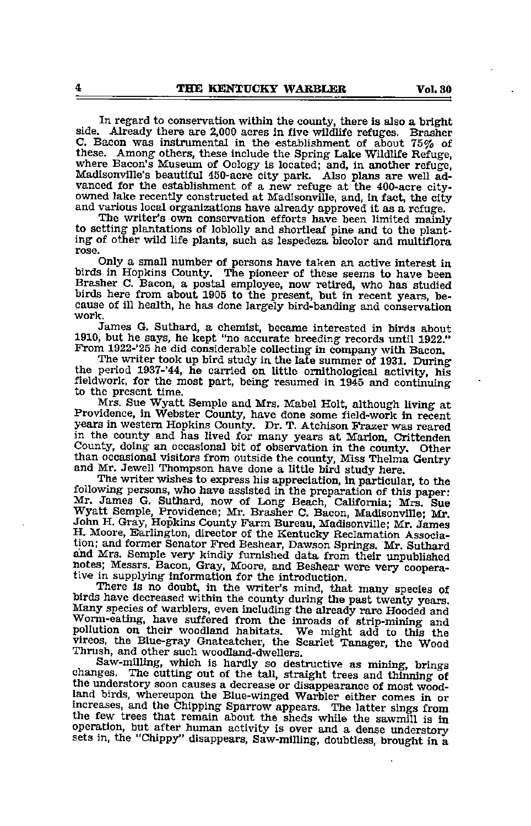In regard to conservation within the county, there is also a bright side. Already there are 2,000 acres in five wildlife refuges. Brasher C. Bacon was instrumental in the establishment of about 75% of these. Among others, these include the Spring Lake Wildlife Refuge, where Bacon's Museum of Oology is located; and, in another refuge, Madisonville's beautiful 450-acre city park. Also plans are well ad vanced for the establishment of a new refuge at the 400-acre cityowned lake recently constructed at Madisonville, and, in fact, the city and various local organizations have already approved it as <sup>a</sup> refuge.

The writer's own conservation efforts have been limited mainly to setting plantations of loblolly and shortleaf pine and to the plant ing of other wild life plants, such as lespedeza bicolor and multiflora rose.

Only a small number of persons have taken an active interest in birds in Hopkins County. The pioneer of these seems to have been Brasher C. Bacon, a postal employee, now retired, who has studied birds here from about 1905 to the present, but in recent years, be cause of ill health, he has done largely bird-banding and conservation work.

James G. Suthard, a chemist, became interested in birds about 1910, but he says, he kept "no accurate breeding records until 1922." From 1922-'25 he did considerable collecting in company with Bacon.

The writer took up bird study in the late summer of 1931. During the period 1937-'44, he carried on little ornithological activity, his fieldwork, for the most part, being resumed in 1945 and continuing to the present time.

Mrs. Sue Wyatt Semple and Mrs. Mabel Holt, although living at Providence, in Webster County, have done some field-work in recent years in western Hopkins County. Dr. T. Atchison Frazer was reared in the county and has lived for many years at Marion, Crittenden County, doing an occasional bit of observation in the county. Other than occasional visitors from outside the county, Miss Thelma Gentry and Mr. Jewell Thompson have done a little bird study here.

The writer wishes to express his appreciation, in particular, to the following persons, who have assisted in the preparation of this paper; Mr. James G. Suthard, now of Long Beach, California; Mrs. Sue Wyatt Semple, Providence; Mr. Brasher C. Bacon, Madisonville; Mr. John H. Gray, Hopkins County Farm Bureau, Madisonville; Mr. James H. Moore, Earlington, director of the Kentucky Reclamation Association; and former Senator Fred Beshear, Dawson Springs. Mr. Suthard aiid Mrs. Semple very kindly furnished data from their unpublished notes; Messrs. Bacon, Gray, Moore, and Beshear were very coopera tive in supplying information for the introduction.

There is no doubt, in the writer's mind, that many species of birds have decreased within the county during the past twenty years. Many species of warblers, even including the already rare Hooded and Worm-eating, have suffered from the inroads of strip-mining and pollution on their woodland habitats. We might add to this the vireos, the Blue-gray Gnatcatcher, the Scarlet Tanager, the Wood Thrush, and other such woodland-dwellers.

changes. The cutting out of the tall, straight trees and thinning of the understory soon causes a decrease or disappearance of most woodland birds, whereupon the Blue-winged Warbler either comes in or mcreases, and the Chipping Sparrow appears. The latter sings from the few trees that remain about the sheds while the sawmill is in operation, but after human activity is over and a dense understory sets in, the "Chippy" disappears, Saw-milling, doubtless, brought in a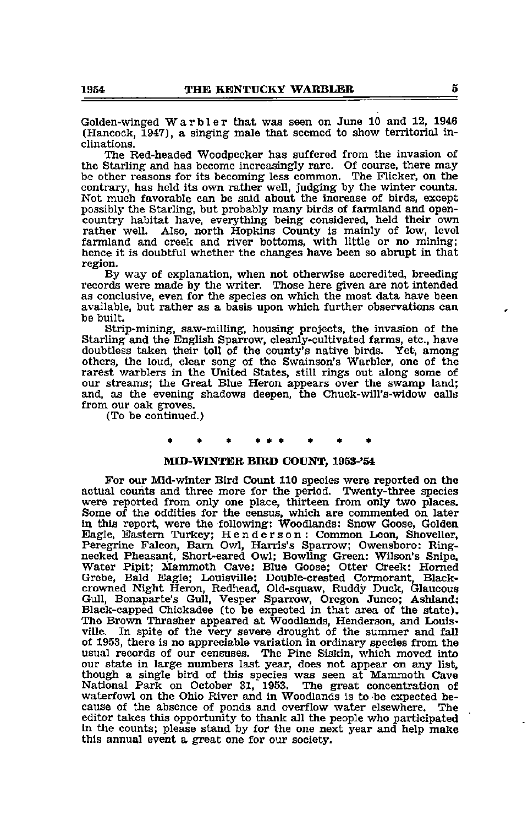Golden-winged Warbler that was seen on June <sup>10</sup> and 12, <sup>1946</sup> (Hancock, 1947), a singing male that seemed to show territorial in clinations.

The Red-headed Woodpecker has suffered from the invasion of the Starling and has become increasingly rare. Of course, there may be other reasons for its becoming less common. The Flicker, on the contrary, has held its own rather well, judging by the winter counts. Not much favorable can be said about the increase of birds, except possibly the Starling, but probably many birds of farmland and opencountry habitat have, everything being considered, held their own rather well. Also, north Hopkins County is mainly of low, level farmland and creek and river bottoms, with little or no mining; hence it is doubtful whether the changes have been so abrupt in that region.

By way of explanation, when not otherwise accredited, breeding records were made by the writer. Those here given are not intended as conclusive, even for the species on which the most data have been available, but rather as a basis upon which further observations can be built.

Strip-mining, saw-milling, housing projects, the invasion of the Starling and the English Sparrow, cleanly-cultivated farms, etc., have doubtless taken their toll of the county's native birds. Yet, among others, the loud, clear song of the Swainson's Warbler, one of the rarest warblers in the United States, still rings out along some of our streams; the Great Blue Heron appears over the swamp land; and, as the evening shadows deepen, the Chuck-will's-widow calls from our oak groves.

(To be continued.)

#### MID-WINTER BIRD COUNT, 1953-'54

For our Mid-winter Bird Count 110 species were reported on the actual counts and three more for the period. Twenty-three species were reported from only one place, thirteen from only two places. Some of the oddities for the census, which are commented on later in this report, were the following: Woodlands: Snow Goose, Golden Eagle, Eastern Turkey; Henderson : Common Loon, Shoveller, Peregrine Falcon, Bam Owl, Harris's Sparrow; Owensboro: Ringnecked Pheasant, Short-eared Owl; Bowling Green: Wilson's Snipe, Water Pipit; Mammoth Cave; Blue Goose; Otter Creek: Homed Grebe, Bald Eagle; Louisville: Double-crested Cormorant, Blackcrowned Night Heron, Redhead, Old-squaw, Ruddy Duck, Glaucous<br>Gull, Bonaparte's Gull, Vesper Sparrow, Oregon Junco; Ashland:<br>Black-capped Chickadee (to be expected in that area of the state).<br>The Brown Thrasher appeared at of 1953, there is no appreciable variation in ordinary species from the usual records of our censuses. The Pine Siskin, which moved into our state in large numbers last year, does not appear on any list, though <sup>a</sup> single bird of this species was seen at Mammoth Cave National Park on October 31, 1953. waterfowl on the Ohio River and in Woodlands is to be expected because of the absence of ponds and overflow water elsewhere. The cause of the absence of ponds and overflow water elsewhere. editor takes this opportimity to thank all the people who participated in the counts; please stand by for the one next year and help make this annual event a great one for our society.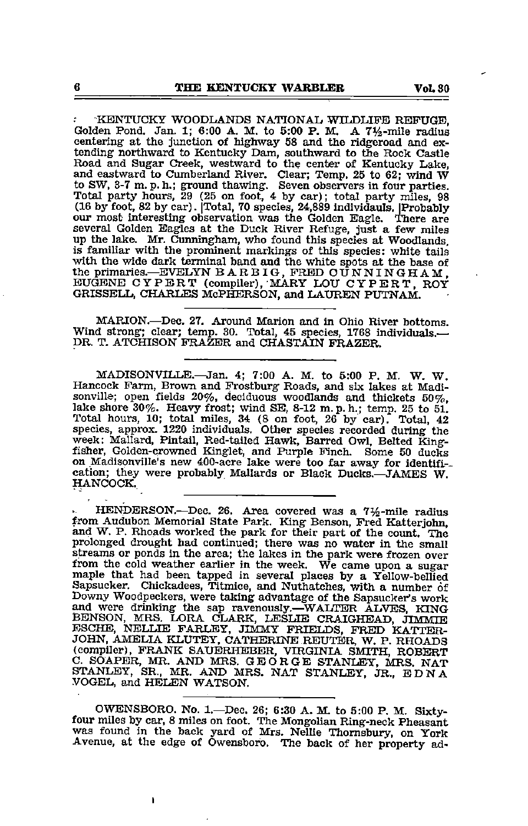KENTUCKY WOODLANDS NATIONAL WILDLIFE REPUGB, Golden Pond. Jan. 1; 6:00 A. M. to 5:00 P. M. A  $7\frac{1}{2}$ -mile radius centering at the junction of highway 58 and the ridgeroad and excentering at the junction of highway <sup>58</sup> and the ridgeroad and ex tending northward to Kentucky Dam, southward to the Rock Castle Road and Sugar Creek, westward to the center of Kentucky Lake, and eastward to Cumberland River. Clear; Temp, 25 to 62; wind W<br>to SW, 3-7 m.p.h.; ground thawing. Seven observers in four parties.<br>Total party hours, 29 (25 on foot, 4 by car); total party miles, 98 (16 by foot, 82 by car). [Total, 70 species, 24,889 individauls. [Probably our most interesting observation was the Golden Eagle. There are several Golden Eagles at the Duck River Refuge, just a few miles several Golden Eagles at the Duck River Refuge, just a few miles up the lake. Mr. Cunningham, who found this species at Woodlands, is familiar with the prominent markings of this species: white tails with the wide dark terminal band and the white spots at the base of the primaries.—^EVELYN B A R B IG, FRED CUNNINGHAM, EUGENE CYPERT (compiler), MARY LOU CYPERT, ROY GRISSELL, CHARLES McPHERSON, and LAUREN PUTNAM.

MARION.—Dec. 27. Around Marion and in Ohio River bottoms. Wind strong; clear; temp. 30. Total, 45 species, 1768 individuals.— DR. T. ATCHISON FRAZER and CHASTAIN FRAZER.

MADISONVILLE.—Jan. 4; 7:00 A. M. to 5:00 P. M. W. W. Hancock Farm, Brown and Frostburg Roads, and six lakes at Madisonville; open fields 20%, deciduous woodlands and thickets 50%. lake shore  $30\%$ . Heavy frost; wind SE, 8-12 m. p. h.; temp. 25 to 51. Total hours, 10; total miles, 34 (8 on foot, 26 by car). Total, 42 species, approx. 1220 individuals. Other species recorded during the week: Mallard, Pintail, Red-tailed Hawk, Barred Owl, Belted King fisher, Golden-crowned Kinglet, and Purple Finch. Some <sup>50</sup> ducks on Madisonville's new 400-acre lake were too far away for identifl- cation; they were probably Mallards or Black Ducks.—JAMES W. HANCOCK.

HENDERSON.—Dec. 26. Area covered was a 7%-mile radius from Audubon Memorial State Park. King Benson, Fred Katterjohn, and W. P. Rhoads worked the park for their part of the count. The prolonged drought had continued; there was no water in the small streams or points in the lates, in the week. We came upon a sugar from the cold weather earlier in the week. We came upon a sugar maple that had been tapped in several places by a Yellow-bellied Sapsucker. Chickadees, Titmice, and Nuthatches, with a number of Downy Woodpeckers, were taking advantage of the Sapsucker's work and were drinking the sap ravenously.—WALTER ALVES, KING BENSON, MRS. LORA CLARK, LESLIE CRAIGHEAD, JIMMIE ESCHE, NELLIE FARLEY, JIMMY FRIELDS, FRED KATTER JOHN, AMELIA KLUTBY, CATHERINE REUTER, W. P. RHOADS (compiler), FRANK SAUERHEBER, VIRGINIA SMITH, ROBERT C. SOAPER, MR. AND MRS. GEORGE STANLEY, MRS. NAT STANLEY, SR., MR. AND MRS. NAT STANLEY, JR., EDNA<br>VOGEL, and HELEN WATSON.

OWENSBORO. No. 1.—Dec, 26; 6:30 A. M. to 5:00 P. M. Sixty- four miles by car, <sup>8</sup> miles on foot. The Mongolian Ring-neck Pheasant was found in the back yard of Mrs. Nellie Thomsbury, on York Avenue, at the edge of Owensboro. The back of her property ad-

f,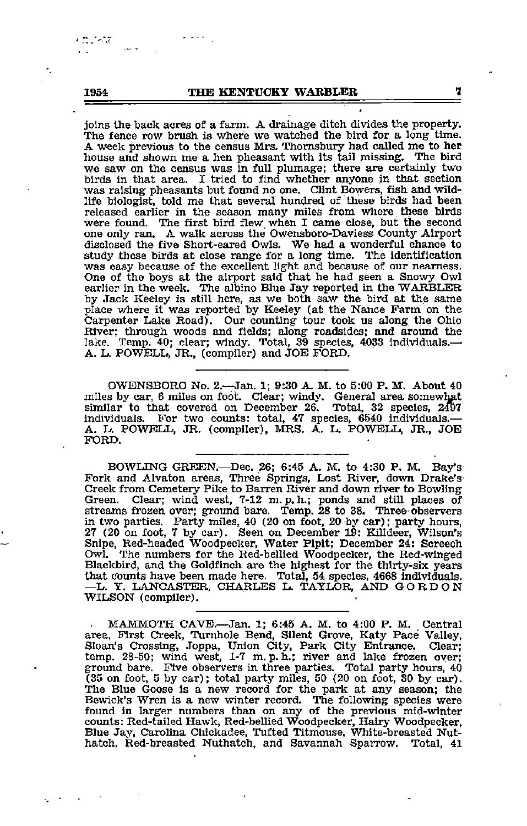### 1954 THE KENTUCKY WARBLER

joins the back acres of a farm. A drainage ditch divides the property. The fence row brush is where we watched the bird for a long time. A week previous to the census Mrs. Thomsbiuy had called me to her we saw on the census was in full plumage; there are certainly two birds in that area. I tried to find whether anyone in that section was raising pheasants but found no one. Clint Bowers, fish and wild life biologist, told me that several hundred of these birds had been released earlier in the season many miles from where these birds were found. The first bird flew, when I came close, but tie second one only ran. <sup>A</sup> walk across the Owensboro-Daviess County Airport disclosed the five Short-eared Owls. We had <sup>a</sup> wonderful chance to study these birds at close range for <sup>a</sup> long time. The identification was easy because of the excellent light and because of our nearness. One of the boys at the airport said that he had seen <sup>a</sup> Snowy Owl earlier in the week. The albino Blue Jay reported in the WARBLER by Jack Keeley is still here, as we both saw the bird at the same place where it was reported by Keeley (at the Nance Farm on the Carpenter Lake Road). Our counting tour took us along the Ohio River; through woods and fields; along roadsides; and around the lake. Temp. 40; clear; windy. Total, 39 species, 4033 individuals.— A. L. POWELL, JR., (compiler) and JOE FORD.

OWBNSBORO No. 2.—Jan. 1; 9:30 A M. to 5:00 P. M. About 40 miles by car, 6 miles on foot. Clear; windy. General area somewhat similar to that covered on December 26. Total, 32 species, 2^7 individuals. For two counts: total, 47 species, 6540 individuals.— A. L. POWELL, JR. (compiler), MRS. A. L. POWELL, JR., JOE FORD.

BOWLING GREEN. Dec. 26; 6:45 A. M. to 4:30 P. M. Bay's Fork and Alvaton areas, Three Springs, Lost River, down Drake's Creek from Cemetery Pike to Barren River and down river to Bowling Green. Clear; wind west, 7-12 m. p. h.; ponds and still places of streams frozen over; ground bare. Temp. 28 to 38. Three-observers in two parties. Party miles, 40 (20 on foot, 20 by car); party hours, 27 (20 on foot, 7 by car). Seen on December 19: Killdeer, Wilson's Snipe, Red-headed Woodpecker, Water Pipit; December 24: Screech<br>Owl. The numbers for the Red-bellied Woodpecker, the Red-winged Blackbird, and the Goldfinch are the highest for the thirty-six years that counts have been made here. Total, 54 species, 4668 individuals. —L. Y. LANCASTER, CHARLES L. TAYLOR, AND GORDON WILSON (compiler).

MAMMOTH CAVE.—Jan. 1; 6:45 A. M. to 4:00 P. M. Central area. First Creek, Turnhole Bend, Silent Grove, Katy Pace Valley, Sloan's Crossing, Joppa, Union City, Park City Entrance. Clear; temp. 28-50; wind west, 1-7 m. p. h.; river and lake frozen over; ground bare. Five observers in three parties. Total party hours, 40 (35 on foot, 5 by car); total party miles, 50 (20 on foot, 30 by car). The Blue Goose is a new record for the park at any season; the Bewick's Wren is a new winter record. The following species were found in larger numbers than on any of the previous mid-winter coxmts: Red-tailed Hawk, Red-bellied Woodpecker, Hairy Woodpecker, Blue Jay, Carolina Chickadee, Tufted Titmouse, White-breasted Nut hatch, Red-breasted Nuthatch, and Savannah Sparrow. Total, 41

र दाहरू दे

7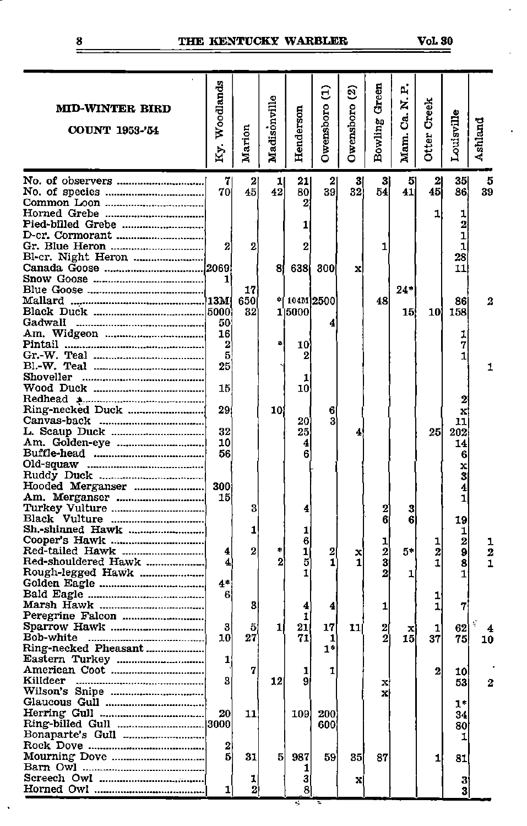### THE KENTUCKY WARBLER Vol 30

| MID-WINTER BIRD<br><b>COUNT 1953-'54</b>                    | Woodlands<br>$Ky$ .   | Marion         | Madisonville         | Henderson           | $\widehat{\Xi}$<br>Owensboro | <u>୍ବ</u><br>Owensboro | Green<br>Bowling       | р.<br>Ħ,<br>ප්<br>Mam. | Creek<br>Otter | Louisville                        | Ashland |
|-------------------------------------------------------------|-----------------------|----------------|----------------------|---------------------|------------------------------|------------------------|------------------------|------------------------|----------------|-----------------------------------|---------|
| No. of observers                                            | 70                    | $\frac{2}{45}$ | 괴<br>42              | 21<br>80            | 2<br>39                      | ы<br>32                | 3<br>54                | 5<br>41                | 2<br>45        | 35 <br>86                         | 5<br>39 |
| Horned Grebe<br>Pied-billed Grebe<br>Bl-cr. Night Heron     | 2                     | 2              |                      | 2<br>1<br>2         |                              |                        | 1                      |                        | 1              | ı<br>2<br>$\mathbf{1}$<br>1<br>28 |         |
|                                                             | 1                     | 17             | 81                   | 638                 | 300                          | x                      |                        | 24*                    |                | 11                                |         |
| Gadwall                                                     | 50                    | 650<br>32      | 中                    | 104M 2500<br>1 5000 | 4                            |                        | 48                     | 15)                    | 101            | 86<br>158                         |         |
|                                                             | 16<br>2<br>5<br>25    |                | \$                   | 10<br>2             |                              |                        |                        |                        |                | 1<br>7<br>1                       | 1       |
| Shoveller                                                   | 15                    |                |                      | 1<br>10             |                              |                        |                        |                        |                |                                   |         |
|                                                             | 29<br>32              |                | 101                  | 20<br>25            | 6<br>3                       | 4                      |                        |                        | 25             | x<br>11<br>202                    |         |
|                                                             | 10<br>56              |                |                      | 4<br>6              |                              |                        |                        |                        |                | 14<br>6<br>x<br>3                 |         |
| Hooded Merganser<br>Turkey Vulture                          | 300<br>15             | 3              |                      | 4                   |                              |                        | 2                      | 3                      |                | 4<br>1                            |         |
| Sh.-shinned Hawk                                            |                       | 1              |                      | 1<br>6              |                              |                        | 6<br>1                 | 6                      | 1              | 19<br>1<br>$\overline{2}$         |         |
| Red-tailed Hawk<br>Red-shouldered Hawk<br>Rough-legged Hawk | 4<br>4<br>4*          | 2              | \$<br>$\overline{2}$ | 1<br>5<br>1         | 2<br>1                       | x<br>1                 | $\mathbf{z}$<br>3<br>2 | 5*<br>1                | 2<br>1         | 9<br>8<br>1                       | 2       |
|                                                             | 6                     | 3              |                      | 4<br>1              | 4                            |                        | ı                      |                        | 1              | 7                                 |         |
| Bob-white<br>Ring-necked Pheasant<br>Eastern Turkey         | 3<br>10<br>1          | 5<br>27        | 1                    | 21<br>71            | 17<br>1<br>$1*$              | 11                     | 2                      | x<br>15                | 1<br>37        | 62<br>75                          | 10      |
| Killdeer                                                    | 3                     | 7              | 12                   | ı<br>9              | 1                            |                        | X,<br>x                |                        | 2              | 10<br>53.                         | 2       |
|                                                             | 20                    | 11]            |                      | 109                 | 200<br>600                   |                        |                        |                        |                | 1*<br>34<br>80<br>1               |         |
|                                                             | $\boldsymbol{2}$<br>5 | 31             | 5                    | 937<br>ı            | 59                           | 35                     | 87                     |                        | 1              | 81                                |         |
|                                                             | 1                     | 1<br>2         |                      | 3<br>8              |                              | x                      |                        |                        |                | 3<br>3                            |         |

8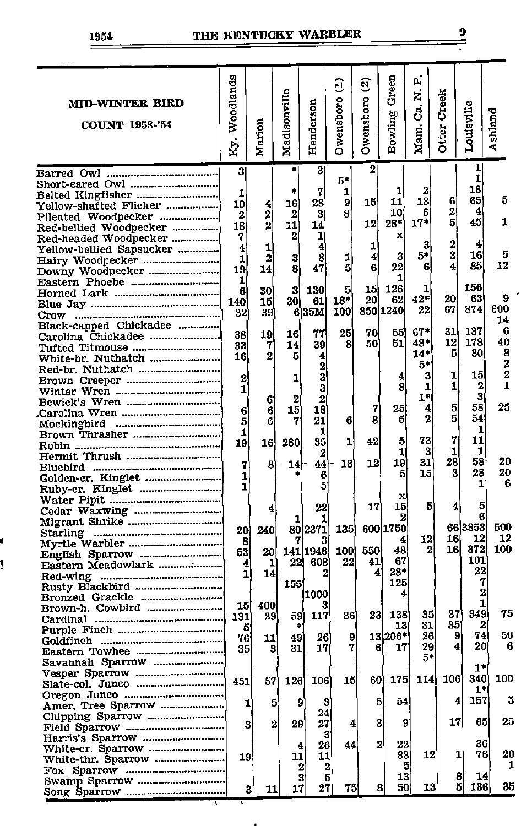ļ

## 1954 THE KENTUCKY WARBLER

| p.<br>Ky. Woodlands<br>Green<br>Owenshoro (1)<br>ପ୍ର<br>Madisonville<br>ż<br>Creek<br>Owensboro<br>Henderson<br><b>MID-WINTER BIRD</b><br>Louisville<br>ප්<br>Ashland<br>Bowling<br>Marion<br><b>COUNT 1953-'54</b><br>Otter<br>Mam.<br>1<br>2<br>3<br>3<br>$\mathbf{1}$<br>5*<br>Short-eared Owl<br>18<br>2<br>1<br>7<br>۰<br>1<br>1<br>65<br>13<br>5<br>6<br>11<br>9<br>15<br>28<br>16<br>10<br>4<br>Yellow-shafted Flicker<br>$\mathbf{2}$<br>4<br>8<br>10<br>6<br>2<br>2<br>3<br>2<br>Pileated Woodpecker<br>5<br>45<br>1<br>28*<br>17*<br>12<br>$\overline{2}$<br>11<br>18<br>14<br>Red-bellied Woodpecker<br>1<br>7<br>2<br>x<br>Red-headed Woodpecker<br>$\overline{2}$<br>4<br>3<br>1<br>4<br>4<br>1<br>Yellow-bellied Sapsucker<br>3<br>5*<br>16<br>5<br>3<br>4<br>1<br>8<br>з<br>2<br>1<br>12<br>4<br>85<br>22<br>6<br>6<br>8<br>5<br>19<br>47<br>14<br>Downy Woodpecker<br>1<br>1<br>Eastern Phoebe<br>156<br>126<br>1<br>5<br>15<br>3<br>130<br>6<br>30<br>$42^*$<br>20<br>63<br>9<br>20<br>62<br>$18*$<br>30 <br>61<br>140<br>15<br>600<br>67<br>874<br>22<br>850 1240<br>635M<br>100<br>39<br>32<br>Crow<br>14<br>Black-capped Chickadee<br>6<br>67*<br>31<br>137<br>55<br>25<br>70<br>77<br>38<br>19<br>16<br>Carolina Chickadee<br>178<br>40<br>12<br>48*<br>51<br>50<br>39<br>8<br>33<br>7<br>14<br>Tufted Titmouse<br>8<br>$14*$<br>5<br>30<br>2<br>5<br>4<br>16<br>White-br. Nuthatch<br>2<br>5*<br>2<br>Red-br. Nuthatch<br>$\overline{2}$<br>1<br>15<br>3<br>3<br>4<br>2<br>1<br>Brown Creeper<br>1<br>1<br>2<br>8<br>1<br>3<br>1<br>3<br>1*<br>$\mathbf{2}$<br>2<br>6<br>25<br>5<br>58<br>25<br>4<br>7<br>15<br>18<br>6<br>6<br>5<br>54<br>2<br>8<br>5<br>21<br>6<br>5<br>7<br>6<br>1<br>1<br>1<br>Brown Thrasher<br>11<br>7<br>73<br>35<br>5<br>1<br>42<br>280<br>16<br>19<br>1<br>1<br>3<br>1<br>2<br>28<br>58<br>20<br>31<br>19<br>12<br>13<br>44<br>8<br>14<br>7<br>28<br>20<br>3<br>15<br>5<br>6<br>1<br>6<br>ı<br>5<br>1<br>Ruby-cr. Kinglet<br>x<br>5<br>5<br>15<br>4<br>17<br>22<br>4<br>6<br>2<br>Migrant Shrike<br>66 3853<br>500<br>600 1750<br>802371<br>135<br>20<br>240<br>16<br>12<br>12<br>12<br>4<br>3<br>8<br>372<br>100<br>16<br>48<br>550<br>2<br>141 1946<br>100<br>20<br>53<br>101<br>67<br>22)<br>22<br>41<br>608<br>1<br>4<br>22<br>$28*$<br>4<br>1<br>14<br>2<br>125<br>155<br>Rusty Blackbird<br>2<br>1000<br>4<br>Bronzed Grackle<br>1<br>15<br>400<br>Brown-h. Cowbird<br>75<br>349<br>35<br>37<br>36)<br>23)<br>138<br>117<br>59<br>131<br>29<br>31<br>35<br>2<br>13<br>5<br>50<br>74<br>13 206*<br>26<br>9<br>26<br>9<br>49<br>76<br>11<br>9ai<br>4<br>20<br>6<br>7<br>ß١<br>17<br>17<br>3<br>31<br>35<br>Eastern Towhee<br>5*<br>Savannah Sparrow<br>$1^*$<br>106<br>340 <br>175<br>114<br>15<br>60)<br>126<br>106<br>57<br>451<br>$1^*$<br>5<br>157<br>4<br>54<br>9<br>3<br>5<br>긔<br>5<br>Amer. Tree Sparrow<br>24<br>Chipping Sparrow<br>25<br>17<br>65<br>9<br>2<br>29<br>27<br>з<br>3<br>4<br>3<br>36<br>2<br>22<br>26<br>44<br>4<br>White-cr. Sparrow<br>1<br>76<br>121<br>83<br>11<br>11<br>19<br>White-thr. Sparrow<br>5<br>$\mathbf{2}$<br>2<br>8<br>14<br>13<br>3<br>5<br>Swamp Sparrow<br>51<br>35<br>136<br>50<br>13<br>27<br>75<br>8<br>17<br>11<br>3 |  |  |  |  |  |     |
|-------------------------------------------------------------------------------------------------------------------------------------------------------------------------------------------------------------------------------------------------------------------------------------------------------------------------------------------------------------------------------------------------------------------------------------------------------------------------------------------------------------------------------------------------------------------------------------------------------------------------------------------------------------------------------------------------------------------------------------------------------------------------------------------------------------------------------------------------------------------------------------------------------------------------------------------------------------------------------------------------------------------------------------------------------------------------------------------------------------------------------------------------------------------------------------------------------------------------------------------------------------------------------------------------------------------------------------------------------------------------------------------------------------------------------------------------------------------------------------------------------------------------------------------------------------------------------------------------------------------------------------------------------------------------------------------------------------------------------------------------------------------------------------------------------------------------------------------------------------------------------------------------------------------------------------------------------------------------------------------------------------------------------------------------------------------------------------------------------------------------------------------------------------------------------------------------------------------------------------------------------------------------------------------------------------------------------------------------------------------------------------------------------------------------------------------------------------------------------------------------------------------------------------------------------------------------------------------------------------------------------------------------------------------------------------------------------------------------------------------------------------------------------------------------------------------------------------------------------------------------------------------------------------------------------------------------------------------------------------------------------------------------------------------------------------------------------------------------------------------------------------------------------------------------------------------------------------------------|--|--|--|--|--|-----|
|                                                                                                                                                                                                                                                                                                                                                                                                                                                                                                                                                                                                                                                                                                                                                                                                                                                                                                                                                                                                                                                                                                                                                                                                                                                                                                                                                                                                                                                                                                                                                                                                                                                                                                                                                                                                                                                                                                                                                                                                                                                                                                                                                                                                                                                                                                                                                                                                                                                                                                                                                                                                                                                                                                                                                                                                                                                                                                                                                                                                                                                                                                                                                                                                                         |  |  |  |  |  |     |
|                                                                                                                                                                                                                                                                                                                                                                                                                                                                                                                                                                                                                                                                                                                                                                                                                                                                                                                                                                                                                                                                                                                                                                                                                                                                                                                                                                                                                                                                                                                                                                                                                                                                                                                                                                                                                                                                                                                                                                                                                                                                                                                                                                                                                                                                                                                                                                                                                                                                                                                                                                                                                                                                                                                                                                                                                                                                                                                                                                                                                                                                                                                                                                                                                         |  |  |  |  |  |     |
|                                                                                                                                                                                                                                                                                                                                                                                                                                                                                                                                                                                                                                                                                                                                                                                                                                                                                                                                                                                                                                                                                                                                                                                                                                                                                                                                                                                                                                                                                                                                                                                                                                                                                                                                                                                                                                                                                                                                                                                                                                                                                                                                                                                                                                                                                                                                                                                                                                                                                                                                                                                                                                                                                                                                                                                                                                                                                                                                                                                                                                                                                                                                                                                                                         |  |  |  |  |  |     |
|                                                                                                                                                                                                                                                                                                                                                                                                                                                                                                                                                                                                                                                                                                                                                                                                                                                                                                                                                                                                                                                                                                                                                                                                                                                                                                                                                                                                                                                                                                                                                                                                                                                                                                                                                                                                                                                                                                                                                                                                                                                                                                                                                                                                                                                                                                                                                                                                                                                                                                                                                                                                                                                                                                                                                                                                                                                                                                                                                                                                                                                                                                                                                                                                                         |  |  |  |  |  |     |
|                                                                                                                                                                                                                                                                                                                                                                                                                                                                                                                                                                                                                                                                                                                                                                                                                                                                                                                                                                                                                                                                                                                                                                                                                                                                                                                                                                                                                                                                                                                                                                                                                                                                                                                                                                                                                                                                                                                                                                                                                                                                                                                                                                                                                                                                                                                                                                                                                                                                                                                                                                                                                                                                                                                                                                                                                                                                                                                                                                                                                                                                                                                                                                                                                         |  |  |  |  |  |     |
|                                                                                                                                                                                                                                                                                                                                                                                                                                                                                                                                                                                                                                                                                                                                                                                                                                                                                                                                                                                                                                                                                                                                                                                                                                                                                                                                                                                                                                                                                                                                                                                                                                                                                                                                                                                                                                                                                                                                                                                                                                                                                                                                                                                                                                                                                                                                                                                                                                                                                                                                                                                                                                                                                                                                                                                                                                                                                                                                                                                                                                                                                                                                                                                                                         |  |  |  |  |  |     |
|                                                                                                                                                                                                                                                                                                                                                                                                                                                                                                                                                                                                                                                                                                                                                                                                                                                                                                                                                                                                                                                                                                                                                                                                                                                                                                                                                                                                                                                                                                                                                                                                                                                                                                                                                                                                                                                                                                                                                                                                                                                                                                                                                                                                                                                                                                                                                                                                                                                                                                                                                                                                                                                                                                                                                                                                                                                                                                                                                                                                                                                                                                                                                                                                                         |  |  |  |  |  |     |
|                                                                                                                                                                                                                                                                                                                                                                                                                                                                                                                                                                                                                                                                                                                                                                                                                                                                                                                                                                                                                                                                                                                                                                                                                                                                                                                                                                                                                                                                                                                                                                                                                                                                                                                                                                                                                                                                                                                                                                                                                                                                                                                                                                                                                                                                                                                                                                                                                                                                                                                                                                                                                                                                                                                                                                                                                                                                                                                                                                                                                                                                                                                                                                                                                         |  |  |  |  |  |     |
|                                                                                                                                                                                                                                                                                                                                                                                                                                                                                                                                                                                                                                                                                                                                                                                                                                                                                                                                                                                                                                                                                                                                                                                                                                                                                                                                                                                                                                                                                                                                                                                                                                                                                                                                                                                                                                                                                                                                                                                                                                                                                                                                                                                                                                                                                                                                                                                                                                                                                                                                                                                                                                                                                                                                                                                                                                                                                                                                                                                                                                                                                                                                                                                                                         |  |  |  |  |  |     |
|                                                                                                                                                                                                                                                                                                                                                                                                                                                                                                                                                                                                                                                                                                                                                                                                                                                                                                                                                                                                                                                                                                                                                                                                                                                                                                                                                                                                                                                                                                                                                                                                                                                                                                                                                                                                                                                                                                                                                                                                                                                                                                                                                                                                                                                                                                                                                                                                                                                                                                                                                                                                                                                                                                                                                                                                                                                                                                                                                                                                                                                                                                                                                                                                                         |  |  |  |  |  |     |
|                                                                                                                                                                                                                                                                                                                                                                                                                                                                                                                                                                                                                                                                                                                                                                                                                                                                                                                                                                                                                                                                                                                                                                                                                                                                                                                                                                                                                                                                                                                                                                                                                                                                                                                                                                                                                                                                                                                                                                                                                                                                                                                                                                                                                                                                                                                                                                                                                                                                                                                                                                                                                                                                                                                                                                                                                                                                                                                                                                                                                                                                                                                                                                                                                         |  |  |  |  |  |     |
|                                                                                                                                                                                                                                                                                                                                                                                                                                                                                                                                                                                                                                                                                                                                                                                                                                                                                                                                                                                                                                                                                                                                                                                                                                                                                                                                                                                                                                                                                                                                                                                                                                                                                                                                                                                                                                                                                                                                                                                                                                                                                                                                                                                                                                                                                                                                                                                                                                                                                                                                                                                                                                                                                                                                                                                                                                                                                                                                                                                                                                                                                                                                                                                                                         |  |  |  |  |  |     |
|                                                                                                                                                                                                                                                                                                                                                                                                                                                                                                                                                                                                                                                                                                                                                                                                                                                                                                                                                                                                                                                                                                                                                                                                                                                                                                                                                                                                                                                                                                                                                                                                                                                                                                                                                                                                                                                                                                                                                                                                                                                                                                                                                                                                                                                                                                                                                                                                                                                                                                                                                                                                                                                                                                                                                                                                                                                                                                                                                                                                                                                                                                                                                                                                                         |  |  |  |  |  |     |
|                                                                                                                                                                                                                                                                                                                                                                                                                                                                                                                                                                                                                                                                                                                                                                                                                                                                                                                                                                                                                                                                                                                                                                                                                                                                                                                                                                                                                                                                                                                                                                                                                                                                                                                                                                                                                                                                                                                                                                                                                                                                                                                                                                                                                                                                                                                                                                                                                                                                                                                                                                                                                                                                                                                                                                                                                                                                                                                                                                                                                                                                                                                                                                                                                         |  |  |  |  |  |     |
|                                                                                                                                                                                                                                                                                                                                                                                                                                                                                                                                                                                                                                                                                                                                                                                                                                                                                                                                                                                                                                                                                                                                                                                                                                                                                                                                                                                                                                                                                                                                                                                                                                                                                                                                                                                                                                                                                                                                                                                                                                                                                                                                                                                                                                                                                                                                                                                                                                                                                                                                                                                                                                                                                                                                                                                                                                                                                                                                                                                                                                                                                                                                                                                                                         |  |  |  |  |  |     |
|                                                                                                                                                                                                                                                                                                                                                                                                                                                                                                                                                                                                                                                                                                                                                                                                                                                                                                                                                                                                                                                                                                                                                                                                                                                                                                                                                                                                                                                                                                                                                                                                                                                                                                                                                                                                                                                                                                                                                                                                                                                                                                                                                                                                                                                                                                                                                                                                                                                                                                                                                                                                                                                                                                                                                                                                                                                                                                                                                                                                                                                                                                                                                                                                                         |  |  |  |  |  |     |
|                                                                                                                                                                                                                                                                                                                                                                                                                                                                                                                                                                                                                                                                                                                                                                                                                                                                                                                                                                                                                                                                                                                                                                                                                                                                                                                                                                                                                                                                                                                                                                                                                                                                                                                                                                                                                                                                                                                                                                                                                                                                                                                                                                                                                                                                                                                                                                                                                                                                                                                                                                                                                                                                                                                                                                                                                                                                                                                                                                                                                                                                                                                                                                                                                         |  |  |  |  |  |     |
|                                                                                                                                                                                                                                                                                                                                                                                                                                                                                                                                                                                                                                                                                                                                                                                                                                                                                                                                                                                                                                                                                                                                                                                                                                                                                                                                                                                                                                                                                                                                                                                                                                                                                                                                                                                                                                                                                                                                                                                                                                                                                                                                                                                                                                                                                                                                                                                                                                                                                                                                                                                                                                                                                                                                                                                                                                                                                                                                                                                                                                                                                                                                                                                                                         |  |  |  |  |  |     |
|                                                                                                                                                                                                                                                                                                                                                                                                                                                                                                                                                                                                                                                                                                                                                                                                                                                                                                                                                                                                                                                                                                                                                                                                                                                                                                                                                                                                                                                                                                                                                                                                                                                                                                                                                                                                                                                                                                                                                                                                                                                                                                                                                                                                                                                                                                                                                                                                                                                                                                                                                                                                                                                                                                                                                                                                                                                                                                                                                                                                                                                                                                                                                                                                                         |  |  |  |  |  |     |
|                                                                                                                                                                                                                                                                                                                                                                                                                                                                                                                                                                                                                                                                                                                                                                                                                                                                                                                                                                                                                                                                                                                                                                                                                                                                                                                                                                                                                                                                                                                                                                                                                                                                                                                                                                                                                                                                                                                                                                                                                                                                                                                                                                                                                                                                                                                                                                                                                                                                                                                                                                                                                                                                                                                                                                                                                                                                                                                                                                                                                                                                                                                                                                                                                         |  |  |  |  |  |     |
|                                                                                                                                                                                                                                                                                                                                                                                                                                                                                                                                                                                                                                                                                                                                                                                                                                                                                                                                                                                                                                                                                                                                                                                                                                                                                                                                                                                                                                                                                                                                                                                                                                                                                                                                                                                                                                                                                                                                                                                                                                                                                                                                                                                                                                                                                                                                                                                                                                                                                                                                                                                                                                                                                                                                                                                                                                                                                                                                                                                                                                                                                                                                                                                                                         |  |  |  |  |  |     |
|                                                                                                                                                                                                                                                                                                                                                                                                                                                                                                                                                                                                                                                                                                                                                                                                                                                                                                                                                                                                                                                                                                                                                                                                                                                                                                                                                                                                                                                                                                                                                                                                                                                                                                                                                                                                                                                                                                                                                                                                                                                                                                                                                                                                                                                                                                                                                                                                                                                                                                                                                                                                                                                                                                                                                                                                                                                                                                                                                                                                                                                                                                                                                                                                                         |  |  |  |  |  |     |
|                                                                                                                                                                                                                                                                                                                                                                                                                                                                                                                                                                                                                                                                                                                                                                                                                                                                                                                                                                                                                                                                                                                                                                                                                                                                                                                                                                                                                                                                                                                                                                                                                                                                                                                                                                                                                                                                                                                                                                                                                                                                                                                                                                                                                                                                                                                                                                                                                                                                                                                                                                                                                                                                                                                                                                                                                                                                                                                                                                                                                                                                                                                                                                                                                         |  |  |  |  |  |     |
|                                                                                                                                                                                                                                                                                                                                                                                                                                                                                                                                                                                                                                                                                                                                                                                                                                                                                                                                                                                                                                                                                                                                                                                                                                                                                                                                                                                                                                                                                                                                                                                                                                                                                                                                                                                                                                                                                                                                                                                                                                                                                                                                                                                                                                                                                                                                                                                                                                                                                                                                                                                                                                                                                                                                                                                                                                                                                                                                                                                                                                                                                                                                                                                                                         |  |  |  |  |  |     |
|                                                                                                                                                                                                                                                                                                                                                                                                                                                                                                                                                                                                                                                                                                                                                                                                                                                                                                                                                                                                                                                                                                                                                                                                                                                                                                                                                                                                                                                                                                                                                                                                                                                                                                                                                                                                                                                                                                                                                                                                                                                                                                                                                                                                                                                                                                                                                                                                                                                                                                                                                                                                                                                                                                                                                                                                                                                                                                                                                                                                                                                                                                                                                                                                                         |  |  |  |  |  |     |
|                                                                                                                                                                                                                                                                                                                                                                                                                                                                                                                                                                                                                                                                                                                                                                                                                                                                                                                                                                                                                                                                                                                                                                                                                                                                                                                                                                                                                                                                                                                                                                                                                                                                                                                                                                                                                                                                                                                                                                                                                                                                                                                                                                                                                                                                                                                                                                                                                                                                                                                                                                                                                                                                                                                                                                                                                                                                                                                                                                                                                                                                                                                                                                                                                         |  |  |  |  |  |     |
|                                                                                                                                                                                                                                                                                                                                                                                                                                                                                                                                                                                                                                                                                                                                                                                                                                                                                                                                                                                                                                                                                                                                                                                                                                                                                                                                                                                                                                                                                                                                                                                                                                                                                                                                                                                                                                                                                                                                                                                                                                                                                                                                                                                                                                                                                                                                                                                                                                                                                                                                                                                                                                                                                                                                                                                                                                                                                                                                                                                                                                                                                                                                                                                                                         |  |  |  |  |  |     |
|                                                                                                                                                                                                                                                                                                                                                                                                                                                                                                                                                                                                                                                                                                                                                                                                                                                                                                                                                                                                                                                                                                                                                                                                                                                                                                                                                                                                                                                                                                                                                                                                                                                                                                                                                                                                                                                                                                                                                                                                                                                                                                                                                                                                                                                                                                                                                                                                                                                                                                                                                                                                                                                                                                                                                                                                                                                                                                                                                                                                                                                                                                                                                                                                                         |  |  |  |  |  |     |
|                                                                                                                                                                                                                                                                                                                                                                                                                                                                                                                                                                                                                                                                                                                                                                                                                                                                                                                                                                                                                                                                                                                                                                                                                                                                                                                                                                                                                                                                                                                                                                                                                                                                                                                                                                                                                                                                                                                                                                                                                                                                                                                                                                                                                                                                                                                                                                                                                                                                                                                                                                                                                                                                                                                                                                                                                                                                                                                                                                                                                                                                                                                                                                                                                         |  |  |  |  |  |     |
|                                                                                                                                                                                                                                                                                                                                                                                                                                                                                                                                                                                                                                                                                                                                                                                                                                                                                                                                                                                                                                                                                                                                                                                                                                                                                                                                                                                                                                                                                                                                                                                                                                                                                                                                                                                                                                                                                                                                                                                                                                                                                                                                                                                                                                                                                                                                                                                                                                                                                                                                                                                                                                                                                                                                                                                                                                                                                                                                                                                                                                                                                                                                                                                                                         |  |  |  |  |  |     |
|                                                                                                                                                                                                                                                                                                                                                                                                                                                                                                                                                                                                                                                                                                                                                                                                                                                                                                                                                                                                                                                                                                                                                                                                                                                                                                                                                                                                                                                                                                                                                                                                                                                                                                                                                                                                                                                                                                                                                                                                                                                                                                                                                                                                                                                                                                                                                                                                                                                                                                                                                                                                                                                                                                                                                                                                                                                                                                                                                                                                                                                                                                                                                                                                                         |  |  |  |  |  |     |
|                                                                                                                                                                                                                                                                                                                                                                                                                                                                                                                                                                                                                                                                                                                                                                                                                                                                                                                                                                                                                                                                                                                                                                                                                                                                                                                                                                                                                                                                                                                                                                                                                                                                                                                                                                                                                                                                                                                                                                                                                                                                                                                                                                                                                                                                                                                                                                                                                                                                                                                                                                                                                                                                                                                                                                                                                                                                                                                                                                                                                                                                                                                                                                                                                         |  |  |  |  |  |     |
|                                                                                                                                                                                                                                                                                                                                                                                                                                                                                                                                                                                                                                                                                                                                                                                                                                                                                                                                                                                                                                                                                                                                                                                                                                                                                                                                                                                                                                                                                                                                                                                                                                                                                                                                                                                                                                                                                                                                                                                                                                                                                                                                                                                                                                                                                                                                                                                                                                                                                                                                                                                                                                                                                                                                                                                                                                                                                                                                                                                                                                                                                                                                                                                                                         |  |  |  |  |  |     |
|                                                                                                                                                                                                                                                                                                                                                                                                                                                                                                                                                                                                                                                                                                                                                                                                                                                                                                                                                                                                                                                                                                                                                                                                                                                                                                                                                                                                                                                                                                                                                                                                                                                                                                                                                                                                                                                                                                                                                                                                                                                                                                                                                                                                                                                                                                                                                                                                                                                                                                                                                                                                                                                                                                                                                                                                                                                                                                                                                                                                                                                                                                                                                                                                                         |  |  |  |  |  |     |
|                                                                                                                                                                                                                                                                                                                                                                                                                                                                                                                                                                                                                                                                                                                                                                                                                                                                                                                                                                                                                                                                                                                                                                                                                                                                                                                                                                                                                                                                                                                                                                                                                                                                                                                                                                                                                                                                                                                                                                                                                                                                                                                                                                                                                                                                                                                                                                                                                                                                                                                                                                                                                                                                                                                                                                                                                                                                                                                                                                                                                                                                                                                                                                                                                         |  |  |  |  |  |     |
|                                                                                                                                                                                                                                                                                                                                                                                                                                                                                                                                                                                                                                                                                                                                                                                                                                                                                                                                                                                                                                                                                                                                                                                                                                                                                                                                                                                                                                                                                                                                                                                                                                                                                                                                                                                                                                                                                                                                                                                                                                                                                                                                                                                                                                                                                                                                                                                                                                                                                                                                                                                                                                                                                                                                                                                                                                                                                                                                                                                                                                                                                                                                                                                                                         |  |  |  |  |  |     |
|                                                                                                                                                                                                                                                                                                                                                                                                                                                                                                                                                                                                                                                                                                                                                                                                                                                                                                                                                                                                                                                                                                                                                                                                                                                                                                                                                                                                                                                                                                                                                                                                                                                                                                                                                                                                                                                                                                                                                                                                                                                                                                                                                                                                                                                                                                                                                                                                                                                                                                                                                                                                                                                                                                                                                                                                                                                                                                                                                                                                                                                                                                                                                                                                                         |  |  |  |  |  |     |
|                                                                                                                                                                                                                                                                                                                                                                                                                                                                                                                                                                                                                                                                                                                                                                                                                                                                                                                                                                                                                                                                                                                                                                                                                                                                                                                                                                                                                                                                                                                                                                                                                                                                                                                                                                                                                                                                                                                                                                                                                                                                                                                                                                                                                                                                                                                                                                                                                                                                                                                                                                                                                                                                                                                                                                                                                                                                                                                                                                                                                                                                                                                                                                                                                         |  |  |  |  |  |     |
|                                                                                                                                                                                                                                                                                                                                                                                                                                                                                                                                                                                                                                                                                                                                                                                                                                                                                                                                                                                                                                                                                                                                                                                                                                                                                                                                                                                                                                                                                                                                                                                                                                                                                                                                                                                                                                                                                                                                                                                                                                                                                                                                                                                                                                                                                                                                                                                                                                                                                                                                                                                                                                                                                                                                                                                                                                                                                                                                                                                                                                                                                                                                                                                                                         |  |  |  |  |  |     |
|                                                                                                                                                                                                                                                                                                                                                                                                                                                                                                                                                                                                                                                                                                                                                                                                                                                                                                                                                                                                                                                                                                                                                                                                                                                                                                                                                                                                                                                                                                                                                                                                                                                                                                                                                                                                                                                                                                                                                                                                                                                                                                                                                                                                                                                                                                                                                                                                                                                                                                                                                                                                                                                                                                                                                                                                                                                                                                                                                                                                                                                                                                                                                                                                                         |  |  |  |  |  |     |
|                                                                                                                                                                                                                                                                                                                                                                                                                                                                                                                                                                                                                                                                                                                                                                                                                                                                                                                                                                                                                                                                                                                                                                                                                                                                                                                                                                                                                                                                                                                                                                                                                                                                                                                                                                                                                                                                                                                                                                                                                                                                                                                                                                                                                                                                                                                                                                                                                                                                                                                                                                                                                                                                                                                                                                                                                                                                                                                                                                                                                                                                                                                                                                                                                         |  |  |  |  |  |     |
|                                                                                                                                                                                                                                                                                                                                                                                                                                                                                                                                                                                                                                                                                                                                                                                                                                                                                                                                                                                                                                                                                                                                                                                                                                                                                                                                                                                                                                                                                                                                                                                                                                                                                                                                                                                                                                                                                                                                                                                                                                                                                                                                                                                                                                                                                                                                                                                                                                                                                                                                                                                                                                                                                                                                                                                                                                                                                                                                                                                                                                                                                                                                                                                                                         |  |  |  |  |  | 100 |
|                                                                                                                                                                                                                                                                                                                                                                                                                                                                                                                                                                                                                                                                                                                                                                                                                                                                                                                                                                                                                                                                                                                                                                                                                                                                                                                                                                                                                                                                                                                                                                                                                                                                                                                                                                                                                                                                                                                                                                                                                                                                                                                                                                                                                                                                                                                                                                                                                                                                                                                                                                                                                                                                                                                                                                                                                                                                                                                                                                                                                                                                                                                                                                                                                         |  |  |  |  |  |     |
|                                                                                                                                                                                                                                                                                                                                                                                                                                                                                                                                                                                                                                                                                                                                                                                                                                                                                                                                                                                                                                                                                                                                                                                                                                                                                                                                                                                                                                                                                                                                                                                                                                                                                                                                                                                                                                                                                                                                                                                                                                                                                                                                                                                                                                                                                                                                                                                                                                                                                                                                                                                                                                                                                                                                                                                                                                                                                                                                                                                                                                                                                                                                                                                                                         |  |  |  |  |  |     |
|                                                                                                                                                                                                                                                                                                                                                                                                                                                                                                                                                                                                                                                                                                                                                                                                                                                                                                                                                                                                                                                                                                                                                                                                                                                                                                                                                                                                                                                                                                                                                                                                                                                                                                                                                                                                                                                                                                                                                                                                                                                                                                                                                                                                                                                                                                                                                                                                                                                                                                                                                                                                                                                                                                                                                                                                                                                                                                                                                                                                                                                                                                                                                                                                                         |  |  |  |  |  |     |
|                                                                                                                                                                                                                                                                                                                                                                                                                                                                                                                                                                                                                                                                                                                                                                                                                                                                                                                                                                                                                                                                                                                                                                                                                                                                                                                                                                                                                                                                                                                                                                                                                                                                                                                                                                                                                                                                                                                                                                                                                                                                                                                                                                                                                                                                                                                                                                                                                                                                                                                                                                                                                                                                                                                                                                                                                                                                                                                                                                                                                                                                                                                                                                                                                         |  |  |  |  |  |     |
|                                                                                                                                                                                                                                                                                                                                                                                                                                                                                                                                                                                                                                                                                                                                                                                                                                                                                                                                                                                                                                                                                                                                                                                                                                                                                                                                                                                                                                                                                                                                                                                                                                                                                                                                                                                                                                                                                                                                                                                                                                                                                                                                                                                                                                                                                                                                                                                                                                                                                                                                                                                                                                                                                                                                                                                                                                                                                                                                                                                                                                                                                                                                                                                                                         |  |  |  |  |  |     |
|                                                                                                                                                                                                                                                                                                                                                                                                                                                                                                                                                                                                                                                                                                                                                                                                                                                                                                                                                                                                                                                                                                                                                                                                                                                                                                                                                                                                                                                                                                                                                                                                                                                                                                                                                                                                                                                                                                                                                                                                                                                                                                                                                                                                                                                                                                                                                                                                                                                                                                                                                                                                                                                                                                                                                                                                                                                                                                                                                                                                                                                                                                                                                                                                                         |  |  |  |  |  | 20  |
|                                                                                                                                                                                                                                                                                                                                                                                                                                                                                                                                                                                                                                                                                                                                                                                                                                                                                                                                                                                                                                                                                                                                                                                                                                                                                                                                                                                                                                                                                                                                                                                                                                                                                                                                                                                                                                                                                                                                                                                                                                                                                                                                                                                                                                                                                                                                                                                                                                                                                                                                                                                                                                                                                                                                                                                                                                                                                                                                                                                                                                                                                                                                                                                                                         |  |  |  |  |  | ı   |
|                                                                                                                                                                                                                                                                                                                                                                                                                                                                                                                                                                                                                                                                                                                                                                                                                                                                                                                                                                                                                                                                                                                                                                                                                                                                                                                                                                                                                                                                                                                                                                                                                                                                                                                                                                                                                                                                                                                                                                                                                                                                                                                                                                                                                                                                                                                                                                                                                                                                                                                                                                                                                                                                                                                                                                                                                                                                                                                                                                                                                                                                                                                                                                                                                         |  |  |  |  |  |     |
|                                                                                                                                                                                                                                                                                                                                                                                                                                                                                                                                                                                                                                                                                                                                                                                                                                                                                                                                                                                                                                                                                                                                                                                                                                                                                                                                                                                                                                                                                                                                                                                                                                                                                                                                                                                                                                                                                                                                                                                                                                                                                                                                                                                                                                                                                                                                                                                                                                                                                                                                                                                                                                                                                                                                                                                                                                                                                                                                                                                                                                                                                                                                                                                                                         |  |  |  |  |  |     |

٠

9 ≒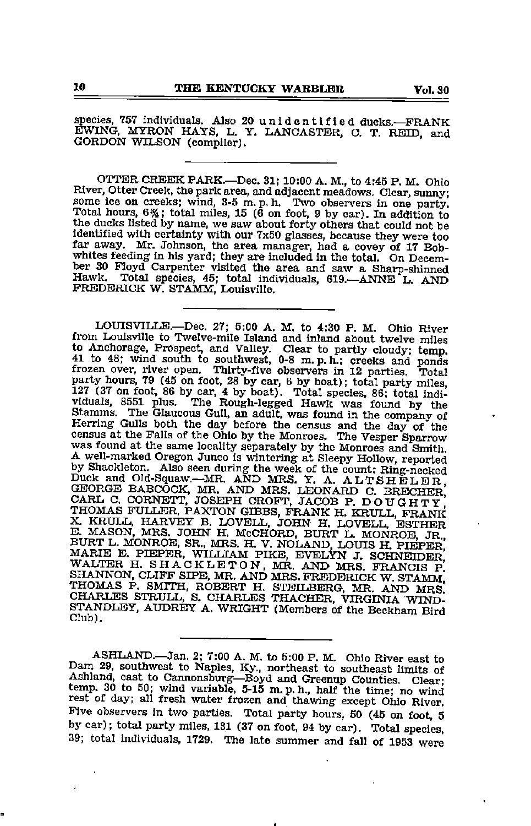species, <sup>757</sup> Individuals. Also <sup>20</sup> unidentified ducks.—FRANK EWING, MYRON HAYS, L. Y. LANCASTER, C. T. REID, and GORDON WILSON (compiler).

OTTER CREEK PARK.—Dec. 31; 10:00 A. M., to 4:45 P. M. Ohio River, Otter Creek, the park area, and adjacent meadows. Clear, sunny; some ice on creeks; wind, 8-5 m. p. h. Two observers in one party. Total hours,  $6\frac{3}{4}$ ; total miles, 15 (6 on foot, 9 by car). In addition to the ducks listed by name, we saw about forty others that could not be identified with certainty with our 7x50 glasses, because they were too far away. Mr. Johnson, the area manager, had a covey of 17 Bobwhites feeding in his yard; they are included in the total. On Decem ber 30 Floyd Carpenter visited the area and saw a Sharp-shinned Hawk. Total species, 45; total individuals, 619. ANNE L. AND FREDERICK W. STAMM, Louisville.

LOUISVILLE.—Dec. 27; 5:00 A. M. to 4:30 P. M. Ohio River from Louisville to Twelve-mile Island and inland about twelve miles to Anchorage, Prospect, and Valley. Clear to partly cloudy; temp. 41 to 48; wind south to southwest, 0-8 m.p. h.; creeks and ponds frozen over, river open. Thirty-five observers in 12 parties. Total party hours, 79 (45 on foot, 28 by car, 6 by boat); total party miles 127 (37 on foot, 86 by car, 4 by boat). Total species, 86; total indi viduals, 8551 plus. The Rough-legged Hawk was found by the Stamms. The Glaucous Gull, an adult, was found in the company of the Elerring Gulls both the day before the census and the day of the census at the Falls of the Ohio by the Monroes. The Vesper Sparrow was found at the same locality separately by the Monroes and Smith. A well-marked Oregon J <sup>A</sup> well-marked Oregon Junco is wintering at Sleepy Hollow, reported by Shackleton. Also seen during the week of the count: Ring-necked Duck and Old-Squaw.—MR. AND MRS. Y. A. ALTSHELER GEORGE BABCOCK, MR. AND MRS. LEONARD C. BRECHEr' CARL C. CORNETT, JOSEPH CROFT, JACOB P. DOUGHTy' THOMAS FULLER, PAXTON GIBBS, FRANK H. KRULL, FRANK<br>X. KRULL, HARVEY B. LOVELL, JOHN H. LOVELL, ESTHER<br>E. MASON, MRS. JOHN H. MCCHORD, BURT L. MONROE JR. BURT L. MONROE, SR., MRS. H. V. NOLAND, LOUIS H. PIEPEr' MARIE E. PIEPER, WILLIAM PIKE, EVELYN J. SCHNEIDER<br>WALTER H. SHACKLETON, MR. AND MRS. FRANCIS P.<br>SHANNON, CLIFF SIPE, MR. AND MRS. FREDERICK W. STAMM. THOMAS P. SMITH, ROBERT H. STEILBERG, MR. AND MRS' CHARLES STRULL, S. CHARLES THACHER, VIRGINIA WIND-STANDLEY, AUDREY A. WRIGHT (Members of the Beckham Bird Club).

ASHLAND.—Jan. 2; 7:00 A. M. to 5:00 P. M. Ohio River east to Dam 29, southwest to Naples, Ky., northeast to southeast limits of Ashland, east to Cannonsburg-Boyd and Greenup Counties. Clear; temp. 30 to 50; wind variable, 5-15 m.p.h., half the time; no wind rest of day; all fresh water frozen and thawing except Ohio River. Five observers in two parties. Total party hours, 50 (45 on foot, 5 by car); total party miles, 131 (37 on foot, 94 by car). Total species, 39; total individuals, 1729. The late summer and fall of 1953 were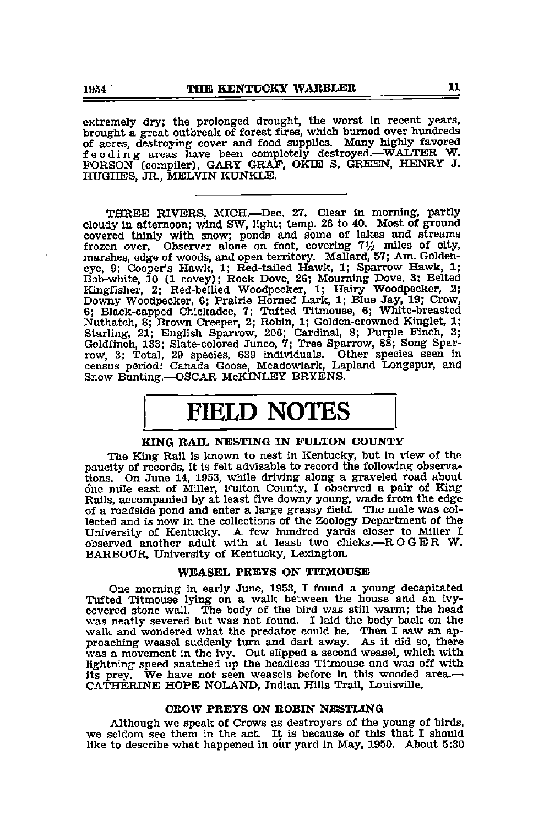extremely dry; the prolonged drought, the worst in recent years, brought a great outbreak of forest fires, which burned over hundreds of acres, destroying cover and food supplies. Many highly favored of action, destroyed, when completely destroyed.—WAITER W.<br>FORSON (compiler), GARY GRAF, OKIE S. GREEN, HENRY J. HUGHES, JR., MELVIN KUNKLE.

THREE RIVERS, MICH.—Dec. 27. Clear in morning, partly cloudy in afternoon; wind SW, light; temp. 26 to 40. Most of ground covered thinly with snow; ponds and some of lakes and streams frozen over. Observer alone on foot, covering  $7\frac{1}{2}$  miles of city, marshes, edge of woods, and open territory. Mallard, 57; Am. Goldeneye, 9; Cooper's Hawk, 1; Red-tailed Hawk, 1; Sparrow Hawk, 1; Bob-white, 10 (1 covey); Rock Dove, 26; Mourning Dove, 3; Belted Kingfisher, 2; Red-bellied Woodpecker, 1; Hairy Woodpecker, 2; Downy Woodpecker, 6; Prairie Horned Lark, 1; Blue Jay, 19; Crow, 6; Black-capped Chickadee, 7; Tufted Titmouse, 6; White-breasted Nuthatch, 8; Brown Creeper, 2; Robin, 1; Golden-crowned Kinglet, 1; Starling, 21; English Sparrow, 206; Cardinal, 8; Purple Finch, 3; Goldfinch, 133; Slate-colored Junco, 7; Tree Sparrow, 88; Song Spar row, 3; Total, <sup>29</sup> species, <sup>639</sup> individuals. Other species seen in census period: Canada Goose, Meadowlark, Lapland Longspur, and Snow Bunting.—OSCAR McKINLEY BRYENS.

# FIELD NOTES

### KING BAIL NESTING IN FULTON COUNTY

The King Rail is known to nest in Kentucky, but in view of the paucity of records. It is felt advisable to record the following observa tions. On June 14, 1953, while driving along <sup>a</sup> graveled tfoad about one mile east of Miller, Fulton County, <sup>I</sup> observed <sup>a</sup> pair of King Rails, accompanied by at least five downy young, wade from the edge of a roadside pond and enter a large gfrassy field. The male was col lected and is now in the collections of the Zoology Department of the University of Kentucky. A few hundred yards closer to Miller I observed another adult with at least two chicks.—ROGER W. BARBOUR, University of Kentucky, Lexington.

#### WEASEL PREYS ON TITMOUSE

One morning in early June, 1953, I found a young decapitated Tufted Titmouse lying on a walk between the house and an ivycovered stone wall. The body of the bird was still warm; the head was neatly severed but was not found. I laid the body back on the walk and wondered what the predator could be. Then I saw an approaching weasel suddenly turn and dart away. As it did so, there was a movement in the ivy. Out slipped a second weasel, which with lightning speed snatched up the headless Titmouse and was off with its prey. We have not seen weasels before in this wooded area.— CATHERINE HOPE NOLAND, Indian Hills Trail, Louisville.

#### OBOW PBEYS ON BOBIN NESTLING

Although we speak of Crows as destroyers of the young of birds, we seldom see them in the act. It is because of this that <sup>I</sup> should like to describe what happened in our yard in May, 1950. About 5:30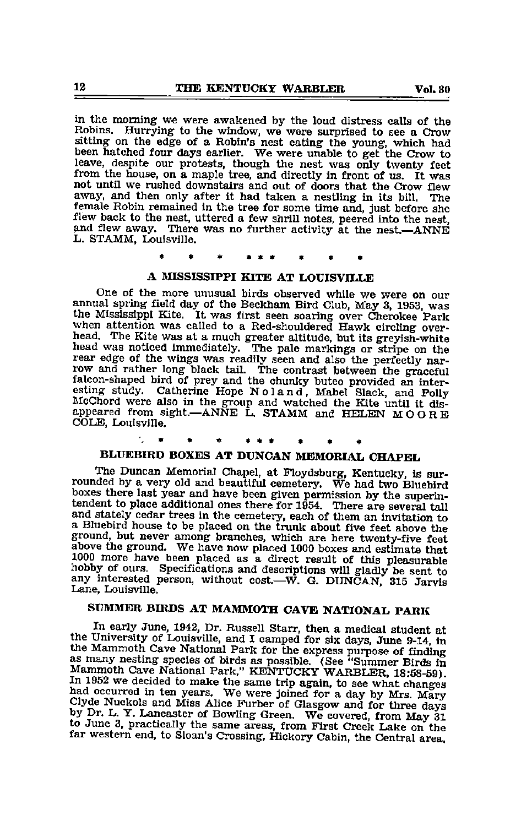in the morning we were awakened by the loud distress calls of the Robins. Hurrying- to the window, we were surprised to see a Crow sitting on the edge of a Robin's nest eating the young, which had been hatched four days earlier. We were unable to get the Crow to leave, despite our protests, though the nest was only twenty feet from the house, on a maple tree, and directly in front of us. It was not until we rushed downstairs and out of doors that the Crow flew away, and then only after it had taken a nestling in its bill. The female Robin remained in the tree for some time and, just before she flew back to the nest, uttered a few shrill notes, peered into the nest, and flew away. There was no further activity at the nest.—ANNE L. STAMM, Louisville.

### A MISSISSIPPI KITE AT LOUISVILLE

One of the more unusual birds observed while we were on our annual spring field day of the Beckham Bird Club, May 3, 1953, was the Mississippi Kite. It was first seen soaring over Cherokee Park when attention was called to a Red-shouldered Hawk circling overhead. The Kite was at a much greater altitude, but its greyish-white head was noticed immediately. The pale markings or stripe on the rear edge of the wings was readily seen and also the perfectly narfalcon-shaped bird of prey and the chunky buteo provided an inter esting study. Catherine Hope Noland, Mabel Slack, and Polly McChord were also in the group and watched the Kite until it dis appeared from sight.—ANNE L. STAMM and HELEN MOORE COLE, Louisville.

## \* \* \* \*\*\* • « «

## BLUEBIRD BOXES AT DUNCAN MEMORIAL CHAPEL

The Duncan Memorial Chapel, at Floydsburg, Kentucky, is sur rounded by a very old and beautiful cemetery. We had two Bluebird boxes there last year and have been given permission by the superin tendent to place additional ones there for 1954. There are several tall and stately cedar trees in the cemetery, each of them an invitation to <sup>a</sup> Bluebird house to be placed on the trunk about five feet above the ground, but never among branches, which are here twenty-five feet above the ground. We have now placed 1000 boxes and estimate that 1000 more have been placed as a direct result of this pleasurable hobby of ours. Specifications and descriptions will gladly be sent to any interested person, without cost.—W. G. DUNCAN, 315 Jarvis Lane, Louisville.

### SUMMER BIRDS AT MAMMOTH CAVE NATIONAL PARK

In early June, 1942, Dr. Russell Starr, then a medical student at the University of Louisville, and I camped for six days, June 9-14, in the Mammoth Cave National Park for the express purpose of finding as many nesting species of birds as possible. (See "Summer Birds in In 1952 we decided to make the same trip again, to see what changes<br>had occurred in ten years. We were joined for a day by Mrs. Mary<br>Clyde Nuckols and Miss Alice Furber of Glasgow and for three days<br>by Dr. L. Y. Lancaster to June 3, practically the same areas, from First Creek Lake on the far western end, to Sloan's Crossing, Hickory Cabin, the Central area.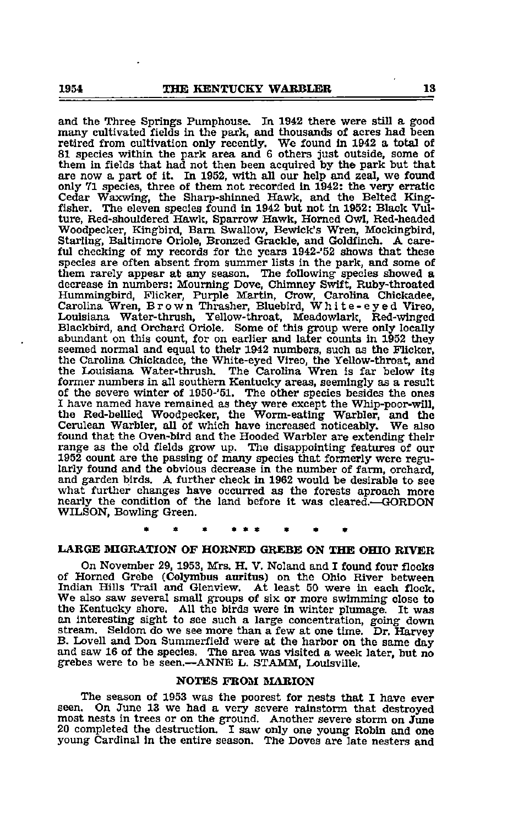and the Three Springs Pumphouse. In 1942 there were still a good many cultivated fields in the park, and thousands of acres had heen retired from cultivation only recently. We foimd in 1942 a total of 81 species within the park area and 6 others just outside, some of them in fields that had not then been acquired by the park but that are now a part of it. In 1952, with all our help and zeal, we found only 71 species, three of them not recorded in 1942: the very erratic Cedar Waxwlng, the Sharp-shinned Hawk, and the Belted King fisher. The eleven species found in 1942 but not In 1952: Black Vul ture, Red-shouldered Hawk, Sparrow Hawk, Homed Owl, Red-headed Woodpecker, Kingbird, Bam Swallow, Bewick's Wren, Mockingbird, Starling, Baltimore Oriole, Bronzed Grackle, and Goldfinch. A care ful checking of my records for the years 1942-'52 shows that these species are often absent from summer lists in the park, and some of them rarely appear at any season. The following species showed <sup>a</sup> decrease in mmibers: Mourning Dove, Chimney Swift, Ruby-throated Hummingbird, Flicker, Purple Martin, Crow, Carolina Chickadee, Carolina Wren, Brown Thrasher, Bluebird, White-eyed Vireo, Louisiana Water-thrush, Yellow-throat, Meadowlark, Red-winged Blackbird, and Orchard Oriole. Some of this group were only locally abundant on this count, for on earlier and later counts in 1952 they seemed normal and equal to their 1942 numbers, such as the Flicker, the Carolina Chickadee, the White-eyed Vireo, the Yellow-throat, and the Louisiana Water-thrush, The Carolina Wren is far below its former numbers in all southern Kentucky areas, seemingly as a result of the severe winter of 1950-'51. The other species besides the ones I have named have remained as they were except the Whip-poor-will, the Red-bellied Woodpecker, the Worm-eating Warbler, and the Cemlean Warbler, all of which have increased noticeably. We also found that the Oven-bird and the Hooded Warbler are extending their range as the old fields grow up. The disappointing features of our 1952 count are the passing of many species that formerly were regu larly found and the obvious decrease in the number of farm, orchard, and garden birds. A further check in 1962 would be desirable to see what further changes have occurred as the forests aproach more nearly the condition of the land before it was cleared.—GORDON WILSON, Bowling Green.

### LARGE MIGRATION OF HORNED GREBE ON THE OHIO RIVER

On November 29, 1953, Mrs. H. V. Noland and I found four flocks of Homed Grebe (Colymbus auritus) on the Ohio River between Indian Hills Trail and Glenview. At least 50 were in each flock. We also saw several small groups of six or more swimming close to the Kentucky shore. All the birds were in winter plumage. It was an interesting sight to see such a large concentration, going down stream. Seldom do we see more than a few at one time. Dr. Harvey B. Lovell and Don Summerfield were at the harbor on the same day and saw <sup>16</sup> of the species. The area was visited <sup>a</sup> week later, but no grebes were to be seen.—ANNE L. STAMM, Louisville.

#### NOTES FROM MARION

The season of 1953 was the poorest for nests that I have ever<br>seen. On June 13 we had a very severe rainstorm that destroyed On June 13 we had a very severe rainstorm that destroyed most nests in trees or on the ground. Another severe storm on June <sup>20</sup> completed the destruction. <sup>I</sup> saw only one young Robin and one young Cardinal in the entire season. The Doves are late nesters and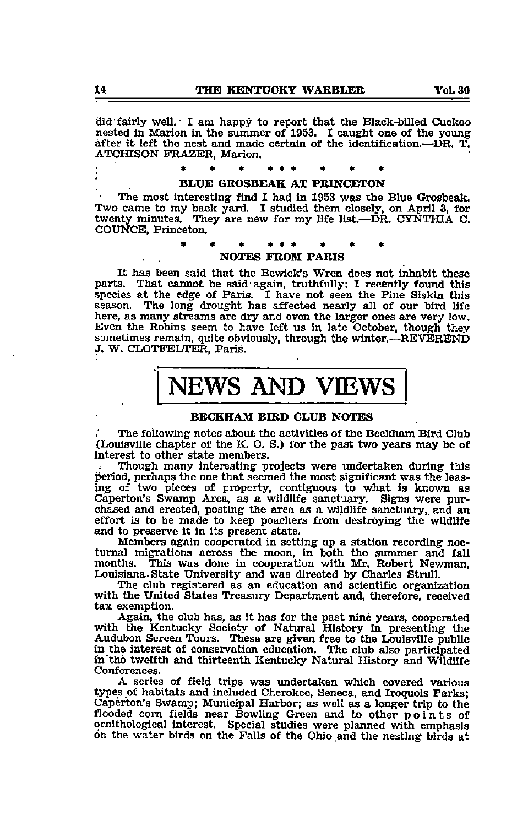did fairly well. I am happy to report that the Black-billed Cuckoo nested in Marion in the summer of 1953. I caught one of the young after it left the nest and made certain of the identification.—DR. T.<br>ATCHISON FRAZER, Marion.

#### BLUE GROSBEAK AT PRINCETON

The most interesting find I had in 1953 was the Blue Grosbeak. Two came to my back yard. I studied them closely, on April 3, for twenty minutes. They are new for my life list.—DR. CYNTHIA C. COUNCB, Princeton.

#### « « \* • \* \* NOTES FROM PARIS

It has been said that the Bewick's Wren does not inhabit these parts. That cannot be said again, truthfully: I recently found this species at the edge of Paris. <sup>I</sup> have not seen the Pine Siskin this season. The long drought has affected nearly all of our bird life here, as many streams are dry and even the larger ones are very low. Even the Robins seem to have left us in late October, though they sometimes remain, quite obviously, through the winter.—REVEREND J. W. CLOTFELTER, Paris.

# NEWS AND VIEWS

### BECKHAM BIRD CLUB NOTES

The following notes about the activities of the Beckham Bird Club (Louisville chapter of the K. O. S.) for the past two years may be of interest to other state members.

Though many interesting projects were undertaken during this period, perhaps the one that seemed the most significant was the leas ing of two pieces of property, contiguous to what is known as Caperton's Swamp Area, as a wildlife sanctuary. Signs were pur chased and erected, posting the area as a vildlife sanctuary,, and an effort is to be made to keep poachers from destroying the wildlife and to preserve it in its present state.

Members again cooperated in setting up a station recording noc turnal migrations across the moon, in both the summer and fall months. This was done in cooperation with Mr. Robert Newman. This was done in cooperation with Mr. Robert Newman, Louisiana-State University and was directed by Charles Strull.

The club registered as an education and scientific organization ^th the United States Treasury Department and, therefore, received tax exemption.

Again, the club has, as it has for the past nine years, cooperated with the Kentucky Society of Natural History in presenting the Audubon Screen Tours. These are given free to the Louisville public in the interest of conservation education. The club also participated in "the twelfth and thirteenth Kentucky Natural History and Wildlife Conferences.

A series of field trips was imdertaken which covered various types of habitats and included Cherokee, Seneca, and Iroquois Parks; Caperton's Swamp; Municipal Harbor; as well as a longer trip to the flooded com fields near Bowling Green and to other points of ornithological interest. Special studies were planned with emphasis on the water birds on the Falls of the Ohio and the nesting birds at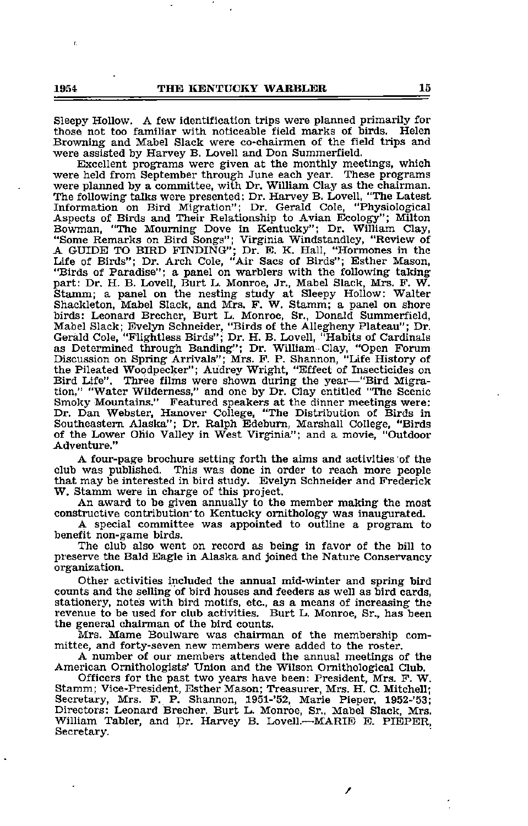Sleepy Hollow. <sup>A</sup> few identification trips were planned primarily for those not too familiar with, noticeable field marks of birds. Helen Browning and Mabel Slack were co-chairmen of the field trips and were assisted by Harvey B. Lovell and Don Summerfield.

Excellent programs were given at the monthly meetings, which were held from September through June each year. These programs were planned by a committee, with Dr. William Clay as the chairman. The following talks were presented: Dr. Harvey B. Lovell, "The Latest Information on Bird Migration"; Dr. Gerald Cole, "Physiological Aspects of Birds and Their Relationship to Avian Ecology"; Milton Bowman, "The Mourning Dove in Kentucky": Dr. William Clay, "Some Remarks on Bird Songs"; Virginia Windstandley, "Review of A GUIDE TO BIRD FINDING"; Dr. E. K. Hall, "Hormones in the Life of Birds"; Dr. Arch Cole, "Air Sacs of Birds"; Esther Mason, "Birds of Paradise"; a panel on warblers with the following taking part: Dr. H. B. Lovell, Burt L. Monroe, Jr., Mabel Slack, Mrs. F. W. Stamm; a panel on the nesting study at Sleepy Hollow: Walter Shackleton, Mabel Slack, and Mrs. F. W. Stamm; a panel on shore birds: Leonard Brecher, Burt L. Monroe, Sr., Donald Summerfield, Mabel Slack; Evelyn Schneider, "Birds of the Allegheny Plateau"; Dr. Gerald Cole, "Flightless Birds"; Dr. H. B. Lovell, "Habits of Cardinals as Determined through Banding"; Dr. William •Clay, "Open Forum Discussion on Spring Arrivals"; Mrs. F. P. Shannon, "Life History of the Pileated Woodpecker"; Audrey Wright, "Effect of Insecticides on Bird Life". Three films were shown during the year—"Bird Migra tion," "Water Wilderness," and one by Dr. Clay entitled "The Scenic<br>Smoky Mountains." Featured speakers at the dinner meetings were:<br>Dr. Dan Webster, Hanover College, "The Distribution of Birds in<br>Southeastern Alaska"; Dr. of the Lower Ohio Valley in West Virginia"; and a movie, "Outdoor Adventure."

A four-page brochure setting forth the aims and activities of the club was published. This was done in order to reach more people that may be interested in bird study. Eveljm Schneider and Frederick W. Stamm were in charge of this project.

An award to be given annually to the member making the most constructive contribution" to Kentucky ornithology was inaugurated.

A special committee was appointed to outiine a program to benefit non-game birds.

The club also went on record as being in favor of the bill to preserve the Bald Eagle in Alaska and joined the Nature Conservancy organization.

Other activities included the annual mid-winter and spring bird counts and the selling of bird houses and feeders as well as bird cards, stationery, notes with bird motifs, etc., as a means of increasing the revenue to be used for club activities. Burt L. Monroe, Sr., has been the general chairman of the bird counts.

Mrs. Mame Boulware was chairman of the membership com mittee, and forty-seven new members were added to the roster.

A number of our members attended the annual meetings of the American Ornithologists' Union and the Wilson Ornithological Club.

Officers for the past two years have been: President, Mrs. F. W. Stamm; Vice-President, Esther Mason; Treasurer, Mrs. H. C. Mitchell; Secretary, Mrs. F. P. Shannon, 1951-'52, Marie Pieper, 1952-'53; Directors: Leonard Brecher, Burt L. Monroe, Sr., Mabel Slack, Mrs. William Tabler, and Dr. Harvey B. Lovell.—MARIE E. PIEPER, Secretary.